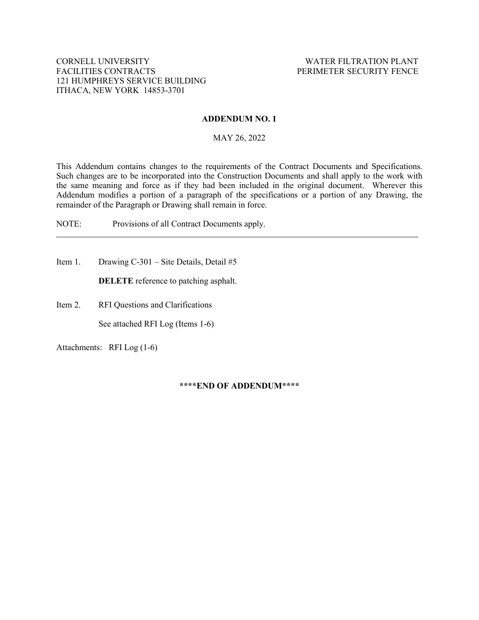# **ADDENDUM NO. 1**

# MAY 26, 2022

This Addendum contains changes to the requirements of the Contract Documents and Specifications. Such changes are to be incorporated into the Construction Documents and shall apply to the work with the same meaning and force as if they had been included in the original document. Wherever this Addendum modifies a portion of a paragraph of the specifications or a portion of any Drawing, the remainder of the Paragraph or Drawing shall remain in force.

NOTE: Provisions of all Contract Documents apply.

Item 1. Drawing C-301 – Site Details, Detail #5

**DELETE** reference to patching asphalt.

Item 2. RFI Questions and Clarifications

See attached RFI Log (Items 1-6)

Attachments: RFI Log (1-6)

### **\*\*\*\*END OF ADDENDUM\*\*\*\***